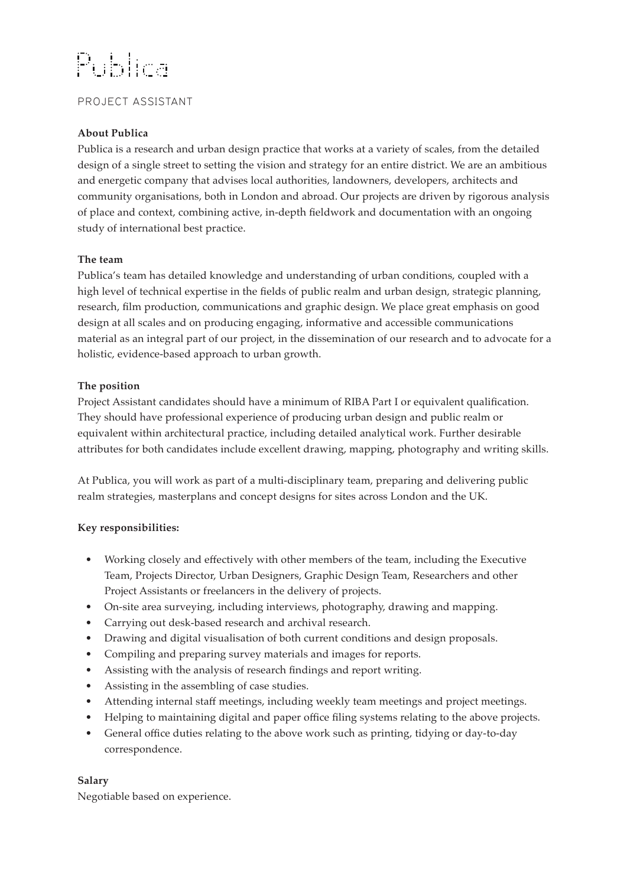# Publica

## PROJECT ASSISTANT

## **About Publica**

Publica is a research and urban design practice that works at a variety of scales, from the detailed design of a single street to setting the vision and strategy for an entire district. We are an ambitious and energetic company that advises local authorities, landowners, developers, architects and community organisations, both in London and abroad. Our projects are driven by rigorous analysis of place and context, combining active, in-depth fieldwork and documentation with an ongoing study of international best practice.

#### **The team**

Publica's team has detailed knowledge and understanding of urban conditions, coupled with a high level of technical expertise in the fields of public realm and urban design, strategic planning, research, film production, communications and graphic design. We place great emphasis on good design at all scales and on producing engaging, informative and accessible communications material as an integral part of our project, in the dissemination of our research and to advocate for a holistic, evidence-based approach to urban growth.

#### **The position**

Project Assistant candidates should have a minimum of RIBA Part I or equivalent qualification. They should have professional experience of producing urban design and public realm or equivalent within architectural practice, including detailed analytical work. Further desirable attributes for both candidates include excellent drawing, mapping, photography and writing skills.

At Publica, you will work as part of a multi-disciplinary team, preparing and delivering public realm strategies, masterplans and concept designs for sites across London and the UK.

## **Key responsibilities:**

- Working closely and effectively with other members of the team, including the Executive Team, Projects Director, Urban Designers, Graphic Design Team, Researchers and other Project Assistants or freelancers in the delivery of projects.
- On-site area surveying, including interviews, photography, drawing and mapping.
- Carrying out desk-based research and archival research.
- Drawing and digital visualisation of both current conditions and design proposals.
- Compiling and preparing survey materials and images for reports.
- Assisting with the analysis of research findings and report writing.
- Assisting in the assembling of case studies.
- Attending internal staff meetings, including weekly team meetings and project meetings.
- Helping to maintaining digital and paper office filing systems relating to the above projects.
- General office duties relating to the above work such as printing, tidying or day-to-day correspondence.

## **Salary**

Negotiable based on experience.